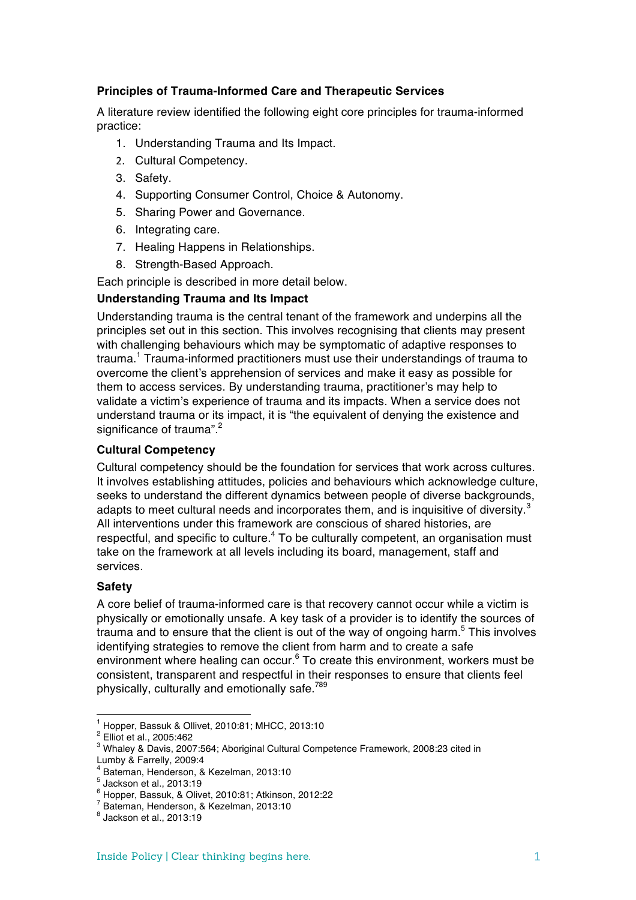# **Principles of Trauma-Informed Care and Therapeutic Services**

A literature review identified the following eight core principles for trauma-informed practice:

- 1. Understanding Trauma and Its Impact.
- 2. Cultural Competency.
- 3. Safety.
- 4. Supporting Consumer Control, Choice & Autonomy.
- 5. Sharing Power and Governance.
- 6. Integrating care.
- 7. Healing Happens in Relationships.
- 8. Strength-Based Approach.

Each principle is described in more detail below.

# **Understanding Trauma and Its Impact**

Understanding trauma is the central tenant of the framework and underpins all the principles set out in this section. This involves recognising that clients may present with challenging behaviours which may be symptomatic of adaptive responses to trauma.<sup>1</sup> Trauma-informed practitioners must use their understandings of trauma to overcome the client's apprehension of services and make it easy as possible for them to access services. By understanding trauma, practitioner's may help to validate a victim's experience of trauma and its impacts. When a service does not understand trauma or its impact, it is "the equivalent of denying the existence and significance of trauma".<sup>2</sup>

## **Cultural Competency**

Cultural competency should be the foundation for services that work across cultures. It involves establishing attitudes, policies and behaviours which acknowledge culture, seeks to understand the different dynamics between people of diverse backgrounds, adapts to meet cultural needs and incorporates them, and is inquisitive of diversity.<sup>3</sup> All interventions under this framework are conscious of shared histories, are respectful, and specific to culture.<sup>4</sup> To be culturally competent, an organisation must take on the framework at all levels including its board, management, staff and services.

### **Safety**

A core belief of trauma-informed care is that recovery cannot occur while a victim is physically or emotionally unsafe. A key task of a provider is to identify the sources of trauma and to ensure that the client is out of the way of ongoing harm.<sup>5</sup> This involves identifying strategies to remove the client from harm and to create a safe environment where healing can occur. $6$  To create this environment, workers must be consistent, transparent and respectful in their responses to ensure that clients feel physically, culturally and emotionally safe.<sup>789</sup>

<sup>&</sup>lt;sup>1</sup> Hopper, Bassuk & Ollivet, 2010:81; MHCC, 2013:10<br> $^{2}$  Elliot et al., 2005:462

<sup>&</sup>lt;sup>3</sup> Whaley & Davis, 2007:564; Aboriginal Cultural Competence Framework, 2008:23 cited in<br>Lumby & Farrelly, 2009:4

 $^4$  Bateman, Henderson, & Kezelman, 2013:10  $^5$  Jackson et al., 2013:19

 $^6$  Hopper, Bassuk, & Olivet, 2010:81; Atkinson, 2012:22<br>  $^7$  Bateman, Henderson, & Kezelman, 2013:10<br>  $^8$  Jackson et al., 2013:19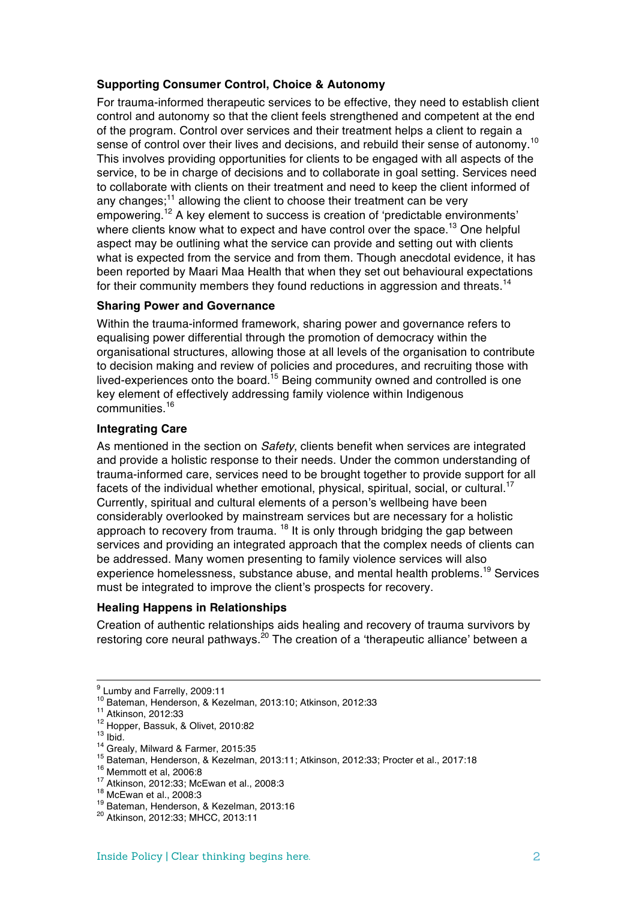# **Supporting Consumer Control, Choice & Autonomy**

For trauma-informed therapeutic services to be effective, they need to establish client control and autonomy so that the client feels strengthened and competent at the end of the program. Control over services and their treatment helps a client to regain a sense of control over their lives and decisions, and rebuild their sense of autonomy.<sup>10</sup> This involves providing opportunities for clients to be engaged with all aspects of the service, to be in charge of decisions and to collaborate in goal setting. Services need to collaborate with clients on their treatment and need to keep the client informed of any changes;<sup>11</sup> allowing the client to choose their treatment can be very empowering.<sup>12</sup> A key element to success is creation of 'predictable environments' where clients know what to expect and have control over the space.<sup>13</sup> One helpful aspect may be outlining what the service can provide and setting out with clients what is expected from the service and from them. Though anecdotal evidence, it has been reported by Maari Maa Health that when they set out behavioural expectations for their community members they found reductions in aggression and threats.<sup>14</sup>

### **Sharing Power and Governance**

Within the trauma-informed framework, sharing power and governance refers to equalising power differential through the promotion of democracy within the organisational structures, allowing those at all levels of the organisation to contribute to decision making and review of policies and procedures, and recruiting those with lived-experiences onto the board.<sup>15</sup> Being community owned and controlled is one key element of effectively addressing family violence within Indigenous communities.<sup>16</sup>

# **Integrating Care**

As mentioned in the section on *Safety*, clients benefit when services are integrated and provide a holistic response to their needs. Under the common understanding of trauma-informed care, services need to be brought together to provide support for all facets of the individual whether emotional, physical, spiritual, social, or cultural.<sup>17</sup> Currently, spiritual and cultural elements of a person's wellbeing have been considerably overlooked by mainstream services but are necessary for a holistic approach to recovery from trauma.  $18$  It is only through bridging the gap between services and providing an integrated approach that the complex needs of clients can be addressed. Many women presenting to family violence services will also experience homelessness, substance abuse, and mental health problems.<sup>19</sup> Services must be integrated to improve the client's prospects for recovery.

### **Healing Happens in Relationships**

Creation of authentic relationships aids healing and recovery of trauma survivors by restoring core neural pathways.<sup>20</sup> The creation of a 'therapeutic alliance' between a

 $^9$  Lumby and Farrelly, 2009:11<br> $^{10}$  Bateman, Henderson, & Kezelman, 2013:10; Atkinson, 2012:33

<sup>&</sup>lt;sup>11</sup> Atkinson, 2012:33<br>
<sup>12</sup> Hopper, Bassuk, & Olivet, 2010:82<br>
<sup>13</sup> Ibid.<br>
<sup>14</sup> Grealy, Milward & Farmer, 2015:35<br>
<sup>15</sup> Bateman, Henderson, & Kezelman, 2013:11; Atkinson, 2012:33; Procter et al., 2017:18<br>
<sup>16</sup> Memmott et